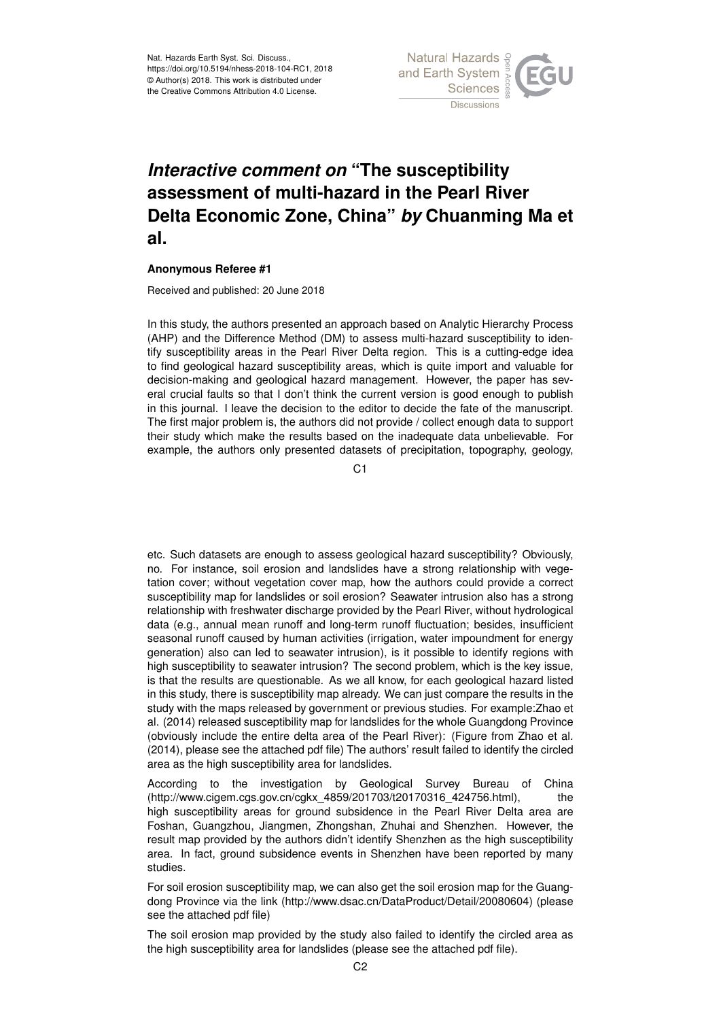

## *Interactive comment on* **"The susceptibility assessment of multi-hazard in the Pearl River Delta Economic Zone, China"** *by* **Chuanming Ma et al.**

## **Anonymous Referee #1**

Received and published: 20 June 2018

In this study, the authors presented an approach based on Analytic Hierarchy Process (AHP) and the Difference Method (DM) to assess multi-hazard susceptibility to identify susceptibility areas in the Pearl River Delta region. This is a cutting-edge idea to find geological hazard susceptibility areas, which is quite import and valuable for decision-making and geological hazard management. However, the paper has several crucial faults so that I don't think the current version is good enough to publish in this journal. I leave the decision to the editor to decide the fate of the manuscript. The first major problem is, the authors did not provide / collect enough data to support their study which make the results based on the inadequate data unbelievable. For example, the authors only presented datasets of precipitation, topography, geology,

 $C<sub>1</sub>$ 

etc. Such datasets are enough to assess geological hazard susceptibility? Obviously, no. For instance, soil erosion and landslides have a strong relationship with vegetation cover; without vegetation cover map, how the authors could provide a correct susceptibility map for landslides or soil erosion? Seawater intrusion also has a strong relationship with freshwater discharge provided by the Pearl River, without hydrological data (e.g., annual mean runoff and long-term runoff fluctuation; besides, insufficient seasonal runoff caused by human activities (irrigation, water impoundment for energy generation) also can led to seawater intrusion), is it possible to identify regions with high susceptibility to seawater intrusion? The second problem, which is the key issue, is that the results are questionable. As we all know, for each geological hazard listed in this study, there is susceptibility map already. We can just compare the results in the study with the maps released by government or previous studies. For example:Zhao et al. (2014) released susceptibility map for landslides for the whole Guangdong Province (obviously include the entire delta area of the Pearl River): (Figure from Zhao et al. (2014), please see the attached pdf file) The authors' result failed to identify the circled area as the high susceptibility area for landslides.

According to the investigation by Geological Survey Bureau of China (http://www.cigem.cgs.gov.cn/cgkx\_4859/201703/t20170316\_424756.html), the high susceptibility areas for ground subsidence in the Pearl River Delta area are Foshan, Guangzhou, Jiangmen, Zhongshan, Zhuhai and Shenzhen. However, the result map provided by the authors didn't identify Shenzhen as the high susceptibility area. In fact, ground subsidence events in Shenzhen have been reported by many studies.

For soil erosion susceptibility map, we can also get the soil erosion map for the Guangdong Province via the link (http://www.dsac.cn/DataProduct/Detail/20080604) (please see the attached pdf file)

The soil erosion map provided by the study also failed to identify the circled area as the high susceptibility area for landslides (please see the attached pdf file).